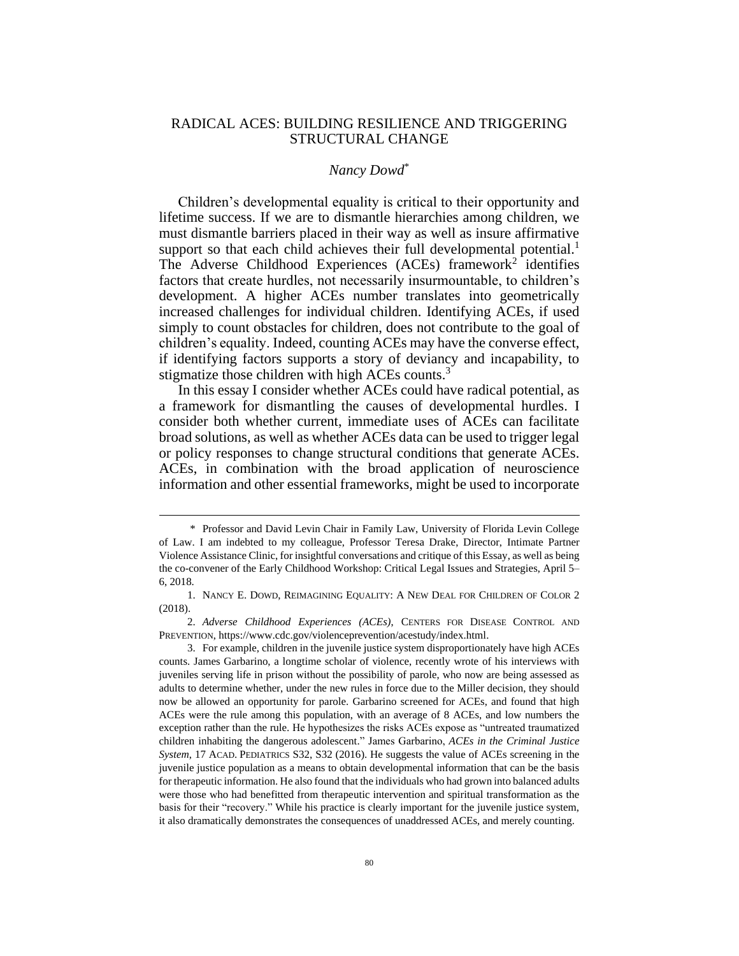# RADICAL ACES: BUILDING RESILIENCE AND TRIGGERING STRUCTURAL CHANGE

### *Nancy Dowd*\*

Children's developmental equality is critical to their opportunity and lifetime success. If we are to dismantle hierarchies among children, we must dismantle barriers placed in their way as well as insure affirmative support so that each child achieves their full developmental potential.<sup>1</sup> The Adverse Childhood Experiences (ACEs) framework<sup>2</sup> identifies factors that create hurdles, not necessarily insurmountable, to children's development. A higher ACEs number translates into geometrically increased challenges for individual children. Identifying ACEs, if used simply to count obstacles for children, does not contribute to the goal of children's equality. Indeed, counting ACEs may have the converse effect, if identifying factors supports a story of deviancy and incapability, to stigmatize those children with high ACEs counts.<sup>3</sup>

In this essay I consider whether ACEs could have radical potential, as a framework for dismantling the causes of developmental hurdles. I consider both whether current, immediate uses of ACEs can facilitate broad solutions, as well as whether ACEs data can be used to trigger legal or policy responses to change structural conditions that generate ACEs. ACEs, in combination with the broad application of neuroscience information and other essential frameworks, might be used to incorporate

<sup>\*</sup> Professor and David Levin Chair in Family Law, University of Florida Levin College of Law. I am indebted to my colleague, Professor Teresa Drake, Director, Intimate Partner Violence Assistance Clinic, for insightful conversations and critique of this Essay, as well as being the co-convener of the Early Childhood Workshop: Critical Legal Issues and Strategies, April 5– 6, 2018.

<sup>1.</sup> NANCY E. DOWD, REIMAGINING EQUALITY: A NEW DEAL FOR CHILDREN OF COLOR 2 (2018).

<sup>2.</sup> *Adverse Childhood Experiences (ACEs)*, CENTERS FOR DISEASE CONTROL AND PREVENTION, https://www.cdc.gov/violenceprevention/acestudy/index.html.

<sup>3.</sup> For example, children in the juvenile justice system disproportionately have high ACEs counts. James Garbarino, a longtime scholar of violence, recently wrote of his interviews with juveniles serving life in prison without the possibility of parole, who now are being assessed as adults to determine whether, under the new rules in force due to the Miller decision, they should now be allowed an opportunity for parole. Garbarino screened for ACEs, and found that high ACEs were the rule among this population, with an average of 8 ACEs, and low numbers the exception rather than the rule. He hypothesizes the risks ACEs expose as "untreated traumatized children inhabiting the dangerous adolescent." James Garbarino, *ACEs in the Criminal Justice System*, 17 ACAD. PEDIATRICS S32, S32 (2016). He suggests the value of ACEs screening in the juvenile justice population as a means to obtain developmental information that can be the basis for therapeutic information. He also found that the individuals who had grown into balanced adults were those who had benefitted from therapeutic intervention and spiritual transformation as the basis for their "recovery." While his practice is clearly important for the juvenile justice system, it also dramatically demonstrates the consequences of unaddressed ACEs, and merely counting.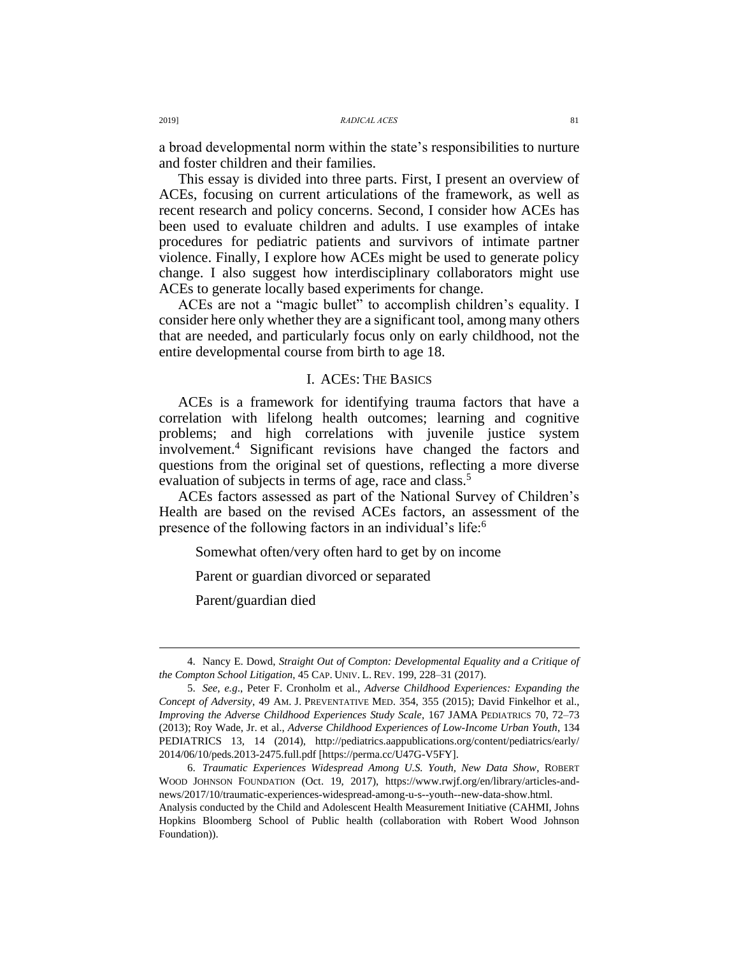a broad developmental norm within the state's responsibilities to nurture and foster children and their families.

This essay is divided into three parts. First, I present an overview of ACEs, focusing on current articulations of the framework, as well as recent research and policy concerns. Second, I consider how ACEs has been used to evaluate children and adults. I use examples of intake procedures for pediatric patients and survivors of intimate partner violence. Finally, I explore how ACEs might be used to generate policy change. I also suggest how interdisciplinary collaborators might use ACEs to generate locally based experiments for change.

ACEs are not a "magic bullet" to accomplish children's equality. I consider here only whether they are a significant tool, among many others that are needed, and particularly focus only on early childhood, not the entire developmental course from birth to age 18.

## I. ACES: THE BASICS

<span id="page-1-0"></span>ACEs is a framework for identifying trauma factors that have a correlation with lifelong health outcomes; learning and cognitive problems; and high correlations with juvenile justice system involvement.<sup>4</sup> Significant revisions have changed the factors and questions from the original set of questions, reflecting a more diverse evaluation of subjects in terms of age, race and class.<sup>5</sup>

ACEs factors assessed as part of the National Survey of Children's Health are based on the revised ACEs factors, an assessment of the presence of the following factors in an individual's life:<sup>6</sup>

Somewhat often/very often hard to get by on income

Parent or guardian divorced or separated

Parent/guardian died

<sup>4.</sup> Nancy E. Dowd, *Straight Out of Compton: Developmental Equality and a Critique of the Compton School Litigation*, 45 CAP. UNIV. L. REV. 199, 228–31 (2017).

<sup>5.</sup> *See, e.g*., Peter F. Cronholm et al., *Adverse Childhood Experiences: Expanding the Concept of Adversity*, 49 AM. J. PREVENTATIVE MED. 354, 355 (2015); David Finkelhor et al., *Improving the Adverse Childhood Experiences Study Scale*, 167 JAMA PEDIATRICS 70, 72–73 (2013); Roy Wade, Jr. et al., *Adverse Childhood Experiences of Low-Income Urban Youth*, 134 PEDIATRICS 13, 14 (2014), http://pediatrics.aappublications.org/content/pediatrics/early/ 2014/06/10/peds.2013-2475.full.pdf [https://perma.cc/U47G-V5FY].

<sup>6.</sup> *Traumatic Experiences Widespread Among U.S. Youth, New Data Show*, ROBERT WOOD JOHNSON FOUNDATION (Oct. 19, 2017), https://www.rwjf.org/en/library/articles-andnews/2017/10/traumatic-experiences-widespread-among-u-s--youth--new-data-show.html. Analysis conducted by the Child and Adolescent Health Measurement Initiative (CAHMI, Johns

Hopkins Bloomberg School of Public health (collaboration with Robert Wood Johnson Foundation)).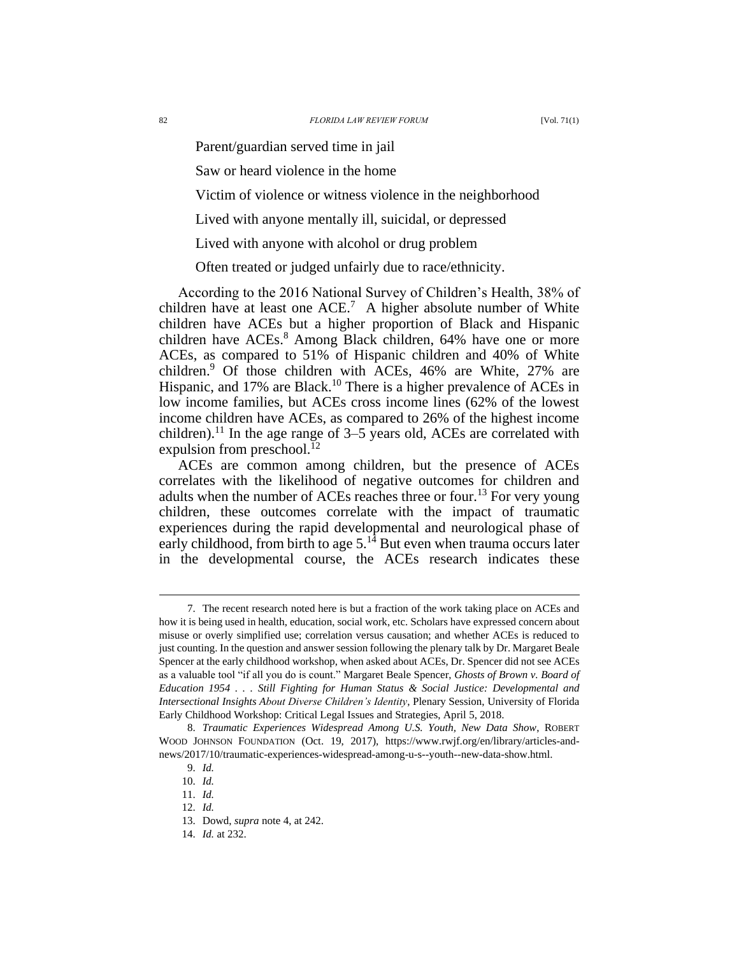Parent/guardian served time in jail

Saw or heard violence in the home

Victim of violence or witness violence in the neighborhood

Lived with anyone mentally ill, suicidal, or depressed

Lived with anyone with alcohol or drug problem

Often treated or judged unfairly due to race/ethnicity.

According to the 2016 National Survey of Children's Health, 38% of children have at least one  $ACE<sup>7</sup>$ . A higher absolute number of White children have ACEs but a higher proportion of Black and Hispanic children have ACEs.<sup>8</sup> Among Black children, 64% have one or more ACEs, as compared to 51% of Hispanic children and 40% of White children.<sup>9</sup> Of those children with ACEs, 46% are White, 27% are Hispanic, and 17% are Black.<sup>10</sup> There is a higher prevalence of ACEs in low income families, but ACEs cross income lines (62% of the lowest income children have ACEs, as compared to 26% of the highest income children).<sup>11</sup> In the age range of  $3-5$  years old, ACEs are correlated with expulsion from preschool. $^{12}$ 

ACEs are common among children, but the presence of ACEs correlates with the likelihood of negative outcomes for children and adults when the number of ACEs reaches three or four.<sup>13</sup> For very young children, these outcomes correlate with the impact of traumatic experiences during the rapid developmental and neurological phase of early childhood, from birth to age  $5<sup>14</sup>$  But even when trauma occurs later in the developmental course, the ACEs research indicates these

<sup>7.</sup> The recent research noted here is but a fraction of the work taking place on ACEs and how it is being used in health, education, social work, etc. Scholars have expressed concern about misuse or overly simplified use; correlation versus causation; and whether ACEs is reduced to just counting. In the question and answer session following the plenary talk by Dr. Margaret Beale Spencer at the early childhood workshop, when asked about ACEs, Dr. Spencer did not see ACEs as a valuable tool "if all you do is count." Margaret Beale Spencer, *Ghosts of Brown v. Board of Education 1954 . . . Still Fighting for Human Status & Social Justice: Developmental and Intersectional Insights About Diverse Children's Identity*, Plenary Session, University of Florida Early Childhood Workshop: Critical Legal Issues and Strategies, April 5, 2018.

<sup>8.</sup> *Traumatic Experiences Widespread Among U.S. Youth, New Data Show*, ROBERT WOOD JOHNSON FOUNDATION (Oct. 19, 2017), https://www.rwjf.org/en/library/articles-andnews/2017/10/traumatic-experiences-widespread-among-u-s--youth--new-data-show.html.

<sup>9.</sup> *Id.*

<sup>10.</sup> *Id.*

<sup>11.</sup> *Id.*

<sup>12.</sup> *Id.*

<sup>13.</sup> Dowd, *supra* not[e 4,](#page-1-0) at 242.

<sup>14.</sup> *Id.* at 232.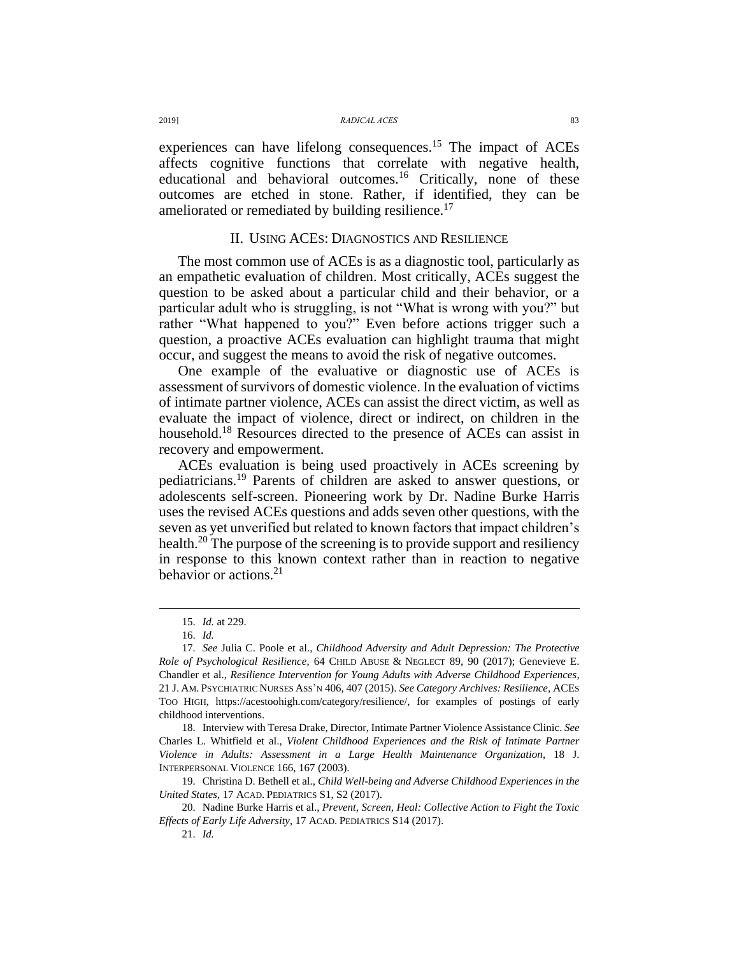experiences can have lifelong consequences.<sup>15</sup> The impact of ACEs affects cognitive functions that correlate with negative health, educational and behavioral outcomes.<sup>16</sup> Critically, none of these outcomes are etched in stone. Rather, if identified, they can be ameliorated or remediated by building resilience.<sup>17</sup>

## II. USING ACES: DIAGNOSTICS AND RESILIENCE

The most common use of ACEs is as a diagnostic tool, particularly as an empathetic evaluation of children. Most critically, ACEs suggest the question to be asked about a particular child and their behavior, or a particular adult who is struggling, is not "What is wrong with you?" but rather "What happened to you?" Even before actions trigger such a question, a proactive ACEs evaluation can highlight trauma that might occur, and suggest the means to avoid the risk of negative outcomes.

One example of the evaluative or diagnostic use of ACEs is assessment of survivors of domestic violence. In the evaluation of victims of intimate partner violence, ACEs can assist the direct victim, as well as evaluate the impact of violence, direct or indirect, on children in the household.<sup>18</sup> Resources directed to the presence of ACEs can assist in recovery and empowerment.

ACEs evaluation is being used proactively in ACEs screening by pediatricians.<sup>19</sup> Parents of children are asked to answer questions, or adolescents self-screen. Pioneering work by Dr. Nadine Burke Harris uses the revised ACEs questions and adds seven other questions, with the seven as yet unverified but related to known factors that impact children's health.<sup>20</sup> The purpose of the screening is to provide support and resiliency in response to this known context rather than in reaction to negative behavior or actions. $2<sup>1</sup>$ 

 $\overline{a}$ 

18. Interview with Teresa Drake, Director, Intimate Partner Violence Assistance Clinic. *See* Charles L. Whitfield et al., *Violent Childhood Experiences and the Risk of Intimate Partner Violence in Adults: Assessment in a Large Health Maintenance Organization*, 18 J. INTERPERSONAL VIOLENCE 166, 167 (2003).

19. Christina D. Bethell et al., *Child Well-being and Adverse Childhood Experiences in the United States*, 17 ACAD. PEDIATRICS S1, S2 (2017).

<sup>15.</sup> *Id.* at 229.

<sup>16.</sup> *Id.*

<sup>17.</sup> *See* Julia C. Poole et al., *Childhood Adversity and Adult Depression: The Protective Role of Psychological Resilience*, 64 CHILD ABUSE & NEGLECT 89, 90 (2017); Genevieve E. Chandler et al., *Resilience Intervention for Young Adults with Adverse Childhood Experiences*, 21 J. AM. PSYCHIATRIC NURSES ASS'N 406, 407 (2015). *See Category Archives: Resilience*, ACES TOO HIGH, [https://acestoohigh.com/category/resilience/,](https://acestoohigh.com/category/resilience/) for examples of postings of early childhood interventions.

<sup>20.</sup> Nadine Burke Harris et al., *Prevent, Screen, Heal: Collective Action to Fight the Toxic Effects of Early Life Adversity*, 17 ACAD. PEDIATRICS S14 (2017).

<sup>21.</sup> *Id.*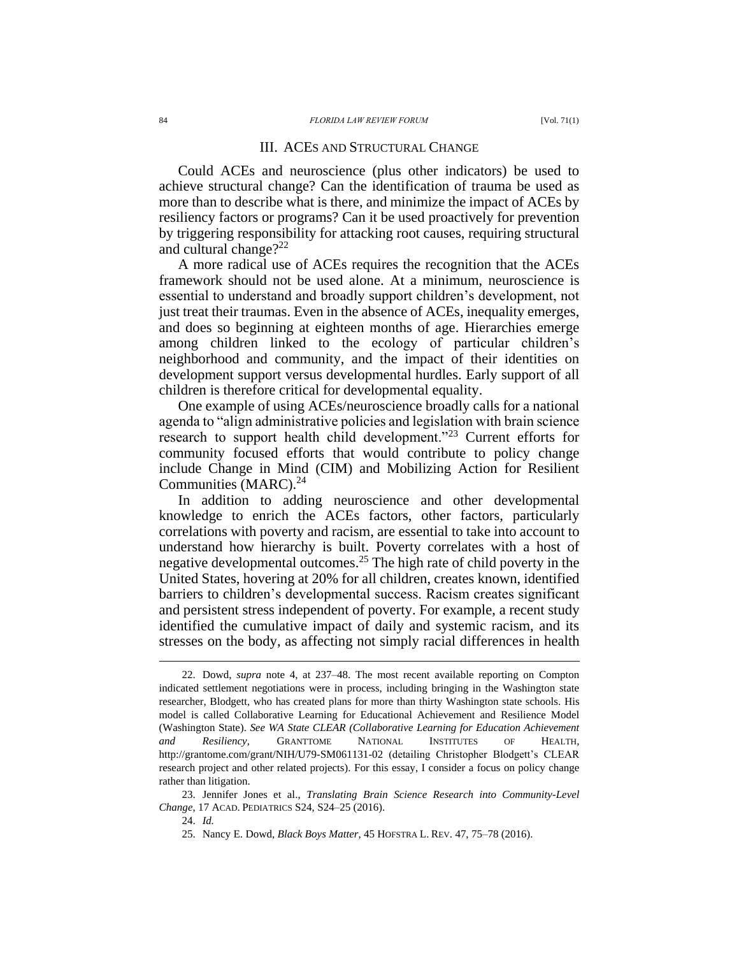#### III. ACES AND STRUCTURAL CHANGE

Could ACEs and neuroscience (plus other indicators) be used to achieve structural change? Can the identification of trauma be used as more than to describe what is there, and minimize the impact of ACEs by resiliency factors or programs? Can it be used proactively for prevention by triggering responsibility for attacking root causes, requiring structural and cultural change?<sup>22</sup>

A more radical use of ACEs requires the recognition that the ACEs framework should not be used alone. At a minimum, neuroscience is essential to understand and broadly support children's development, not just treat their traumas. Even in the absence of ACEs, inequality emerges, and does so beginning at eighteen months of age. Hierarchies emerge among children linked to the ecology of particular children's neighborhood and community, and the impact of their identities on development support versus developmental hurdles. Early support of all children is therefore critical for developmental equality.

<span id="page-4-0"></span>One example of using ACEs/neuroscience broadly calls for a national agenda to "align administrative policies and legislation with brain science research to support health child development."<sup>23</sup> Current efforts for community focused efforts that would contribute to policy change include Change in Mind (CIM) and Mobilizing Action for Resilient Communities (MARC).<sup>24</sup>

In addition to adding neuroscience and other developmental knowledge to enrich the ACEs factors, other factors, particularly correlations with poverty and racism, are essential to take into account to understand how hierarchy is built. Poverty correlates with a host of negative developmental outcomes.<sup>25</sup> The high rate of child poverty in the United States, hovering at 20% for all children, creates known, identified barriers to children's developmental success. Racism creates significant and persistent stress independent of poverty. For example, a recent study identified the cumulative impact of daily and systemic racism, and its stresses on the body, as affecting not simply racial differences in health

<sup>22.</sup> Dowd, *supra* note [4,](#page-1-0) at 237–48. The most recent available reporting on Compton indicated settlement negotiations were in process, including bringing in the Washington state researcher, Blodgett, who has created plans for more than thirty Washington state schools. His model is called Collaborative Learning for Educational Achievement and Resilience Model (Washington State). *See WA State CLEAR (Collaborative Learning for Education Achievement and Resiliency*, GRANTTOME NATIONAL INSTITUTES OF HEALTH, http://grantome.com/grant/NIH/U79-SM061131-02 (detailing Christopher Blodgett's CLEAR research project and other related projects). For this essay, I consider a focus on policy change rather than litigation.

<sup>23.</sup> Jennifer Jones et al., *Translating Brain Science Research into Community-Level Change*, 17 ACAD. PEDIATRICS S24, S24–25 (2016).

<sup>24.</sup> *Id.*

<sup>25.</sup> Nancy E. Dowd, *Black Boys Matter*, 45 HOFSTRA L. REV. 47, 75–78 (2016).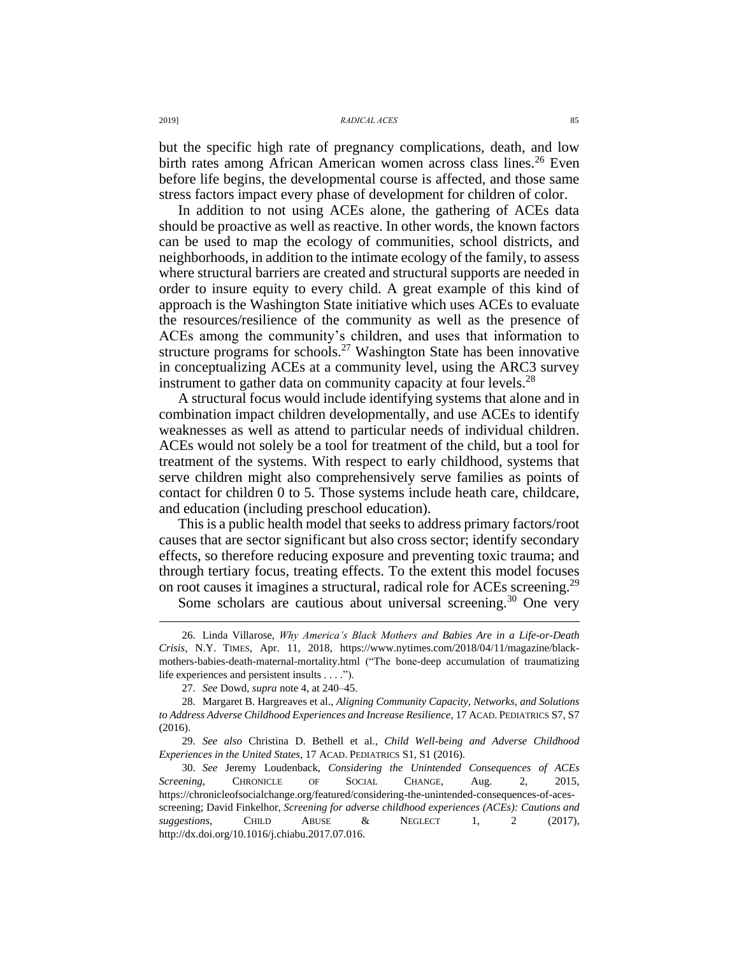2019] *RADICAL ACES* 85

but the specific high rate of pregnancy complications, death, and low birth rates among African American women across class lines.<sup>26</sup> Even before life begins, the developmental course is affected, and those same stress factors impact every phase of development for children of color.

In addition to not using ACEs alone, the gathering of ACEs data should be proactive as well as reactive. In other words, the known factors can be used to map the ecology of communities, school districts, and neighborhoods, in addition to the intimate ecology of the family, to assess where structural barriers are created and structural supports are needed in order to insure equity to every child. A great example of this kind of approach is the Washington State initiative which uses ACEs to evaluate the resources/resilience of the community as well as the presence of ACEs among the community's children, and uses that information to structure programs for schools.<sup>27</sup> Washington State has been innovative in conceptualizing ACEs at a community level, using the ARC3 survey instrument to gather data on community capacity at four levels. $^{28}$ 

A structural focus would include identifying systems that alone and in combination impact children developmentally, and use ACEs to identify weaknesses as well as attend to particular needs of individual children. ACEs would not solely be a tool for treatment of the child, but a tool for treatment of the systems. With respect to early childhood, systems that serve children might also comprehensively serve families as points of contact for children 0 to 5. Those systems include heath care, childcare, and education (including preschool education).

This is a public health model that seeks to address primary factors/root causes that are sector significant but also cross sector; identify secondary effects, so therefore reducing exposure and preventing toxic trauma; and through tertiary focus, treating effects. To the extent this model focuses on root causes it imagines a structural, radical role for ACEs screening.<sup>29</sup>

Some scholars are cautious about universal screening.<sup>30</sup> One very

<sup>26.</sup> Linda Villarose, *Why America's Black Mothers and Babies Are in a Life-or-Death Crisis*, N.Y. TIMES, Apr. 11, 2018, https://www.nytimes.com/2018/04/11/magazine/blackmothers-babies-death-maternal-mortality.html ("The bone-deep accumulation of traumatizing life experiences and persistent insults . . . .").

<sup>27.</sup> *See* Dowd, *supra* not[e 4,](#page-1-0) at 240–45.

<sup>28.</sup> Margaret B. Hargreaves et al., *Aligning Community Capacity, Networks, and Solutions to Address Adverse Childhood Experiences and Increase Resilience*, 17 ACAD. PEDIATRICS S7, S7 (2016).

<sup>29.</sup> *See also* Christina D. Bethell et al., *Child Well-being and Adverse Childhood Experiences in the United States,* 17 ACAD. PEDIATRICS S1, S1 (2016).

<sup>30.</sup> *See* Jeremy Loudenback, *Considering the Unintended Consequences of ACEs Screening*, CHRONICLE OF SOCIAL CHANGE, Aug. 2, 2015, https://chronicleofsocialchange.org/featured/considering-the-unintended-consequences-of-acesscreening; David Finkelhor, *Screening for adverse childhood experiences (ACEs): Cautions and suggestions*, CHILD ABUSE & NEGLECT 1, 2 (2017), http://dx.doi.org/10.1016/j.chiabu.2017.07.016.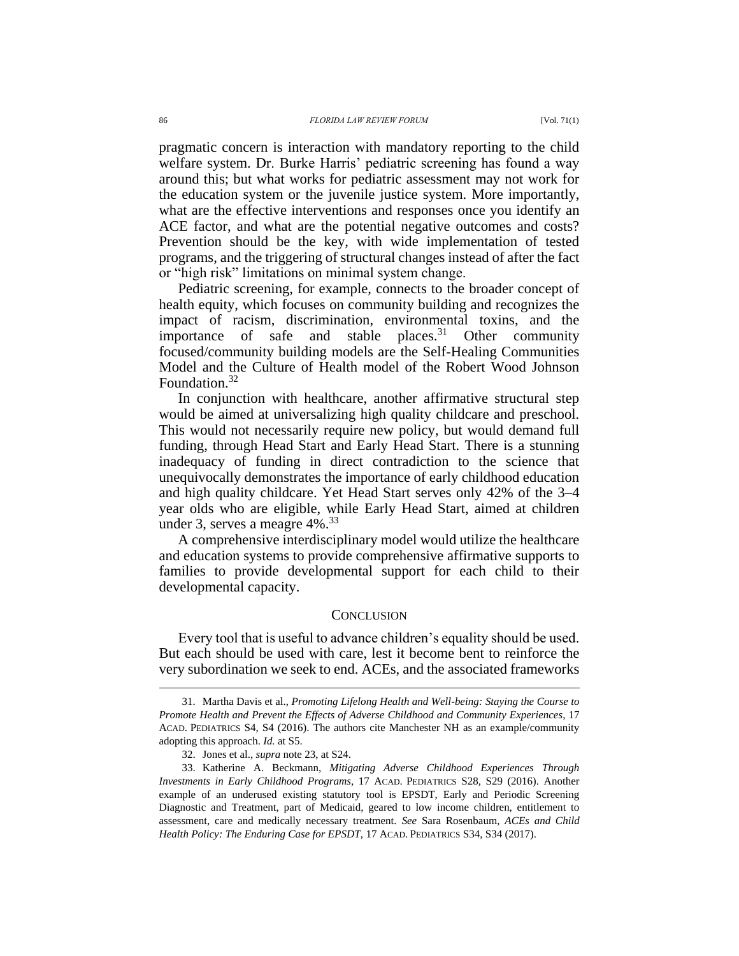pragmatic concern is interaction with mandatory reporting to the child welfare system. Dr. Burke Harris' pediatric screening has found a way around this; but what works for pediatric assessment may not work for the education system or the juvenile justice system. More importantly, what are the effective interventions and responses once you identify an ACE factor, and what are the potential negative outcomes and costs? Prevention should be the key, with wide implementation of tested programs, and the triggering of structural changes instead of after the fact or "high risk" limitations on minimal system change.

Pediatric screening, for example, connects to the broader concept of health equity, which focuses on community building and recognizes the impact of racism, discrimination, environmental toxins, and the importance of safe and stable places. $31$  Other community focused/community building models are the Self-Healing Communities Model and the Culture of Health model of the Robert Wood Johnson Foundation. 32

In conjunction with healthcare, another affirmative structural step would be aimed at universalizing high quality childcare and preschool. This would not necessarily require new policy, but would demand full funding, through Head Start and Early Head Start. There is a stunning inadequacy of funding in direct contradiction to the science that unequivocally demonstrates the importance of early childhood education and high quality childcare. Yet Head Start serves only 42% of the 3–4 year olds who are eligible, while Early Head Start, aimed at children under 3, serves a meagre  $4\%$ .<sup>33</sup>

A comprehensive interdisciplinary model would utilize the healthcare and education systems to provide comprehensive affirmative supports to families to provide developmental support for each child to their developmental capacity.

#### **CONCLUSION**

Every tool that is useful to advance children's equality should be used. But each should be used with care, lest it become bent to reinforce the very subordination we seek to end. ACEs, and the associated frameworks

<sup>31.</sup> Martha Davis et al., *Promoting Lifelong Health and Well-being: Staying the Course to Promote Health and Prevent the Effects of Adverse Childhood and Community Experiences*, 17 ACAD. PEDIATRICS S4, S4 (2016). The authors cite Manchester NH as an example/community adopting this approach. *Id.* at S5.

<sup>32.</sup> Jones et al., *supra* note [23,](#page-4-0) at S24.

<sup>33.</sup> Katherine A. Beckmann, *Mitigating Adverse Childhood Experiences Through Investments in Early Childhood Programs*, 17 ACAD. PEDIATRICS S28, S29 (2016). Another example of an underused existing statutory tool is EPSDT, Early and Periodic Screening Diagnostic and Treatment, part of Medicaid, geared to low income children, entitlement to assessment, care and medically necessary treatment. *See* Sara Rosenbaum, *ACEs and Child Health Policy: The Enduring Case for EPSDT*, 17 ACAD. PEDIATRICS S34, S34 (2017).